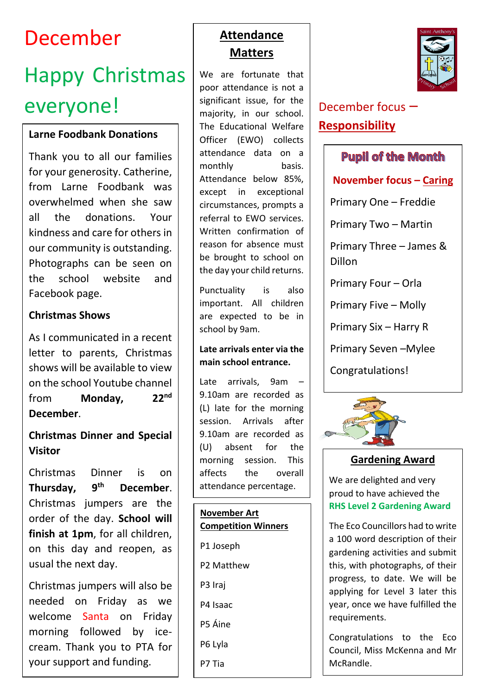# December

# Happy Christmas everyone! Significant issue, for the December focus –

#### **Larne Foodbank Donations**

Thank you to all our families for your generosity. Catherine, from Larne Foodbank was overwhelmed when she saw all the donations. Your kindness and care for others in our community is outstanding. Photographs can be seen on the school website and Facebook page.

#### **Christmas Shows**

As I communicated in a recent letter to parents, Christmas shows will be available to view on the school Youtube channel from **Monday, 22nd December**.

#### **Christmas Dinner and Special Visitor**

Christmas Dinner is on **Thursday, 9th December**. Christmas jumpers are the order of the day. **School will finish at 1pm**, for all children, on this day and reopen, as usual the next day.

Christmas jumpers will also be needed on Friday as we welcome Santa on Friday morning followed by icecream. Thank you to PTA for your support and funding.

# **Attendance Matters**

We are fortunate that poor attendance is not a significant issue, for the majority, in our school. The Educational Welfare Officer (EWO) collects attendance data on a monthly basis. Attendance below 85%, except in exceptional circumstances, prompts a referral to EWO services. Written confirmation of reason for absence must be brought to school on the day your child returns.

Punctuality is also important. All children are expected to be in school by 9am.

#### **Late arrivals enter via the main school entrance.**

Late arrivals, 9am – 9.10am are recorded as (L) late for the morning session. Arrivals after 9.10am are recorded as (U) absent for the morning session. This affects the overall attendance percentage.

#### **November Art Competition Winners**

P1 Joseph

P2 Matthew

P3 Iraj

P4 Isaac

P5 Áine

P6 Lyla

P7 Tia



# **Responsibility**

#### **Pupil of the Month**

**November focus – Caring**

Primary One – Freddie

Primary Two – Martin

Primary Three – James & Dillon

Primary Four – Orla

Primary Five – Molly

Primary Six – Harry R

Primary Seven –Mylee

Congratulations!



#### **Gardening Award**

We are delighted and very proud to have achieved the **RHS Level 2 Gardening Award**

The Eco Councillors had to write a 100 word description of their gardening activities and submit this, with photographs, of their progress, to date. We will be applying for Level 3 later this year, once we have fulfilled the requirements.

Congratulations to the Eco Council, Miss McKenna and Mr McRandle.